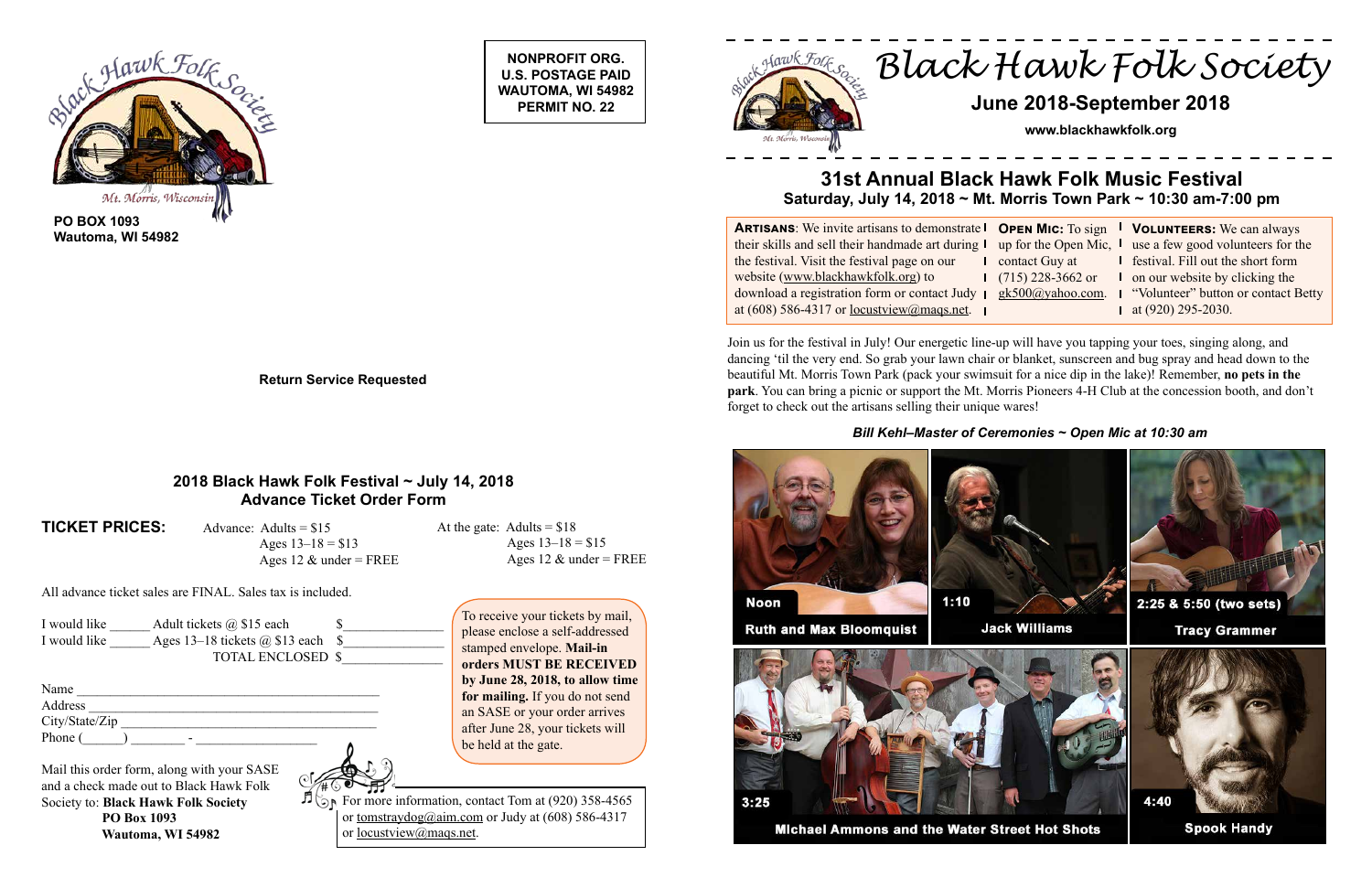**NONPROFIT ORG. U.S. POSTAGE PAID WAUTOMA, WI 54982 PERMIT NO. 22**





∄ஞ் For more information, contact Tom at (920) 358-4565 or tomstraydog@aim.com or Judy at  $(608)$  586-4317 or locustview@maqs.net.

**Return Service Requested**

*Black Hawk Folk Society*

# **June 2018-September 2018**

**www.blackhawkfolk.org**

# **31st Annual Black Hawk Folk Music Festival Saturday, July 14, 2018 ~ Mt. Morris Town Park ~ 10:30 am-7:00 pm**

**ARTISANS:** We invite artisans to demonstrate **I** O their skills and sell their handmade art during the festival. Visit the festival page on our website (www.blackhawkfolk.org) to download a registration form or contact Judy at (608) 586-4317 or locustview@maqs.net.

|                | <b>OPEN MIC:</b> To sign $\blacksquare$ VOLUNTEERS: We can always   |
|----------------|---------------------------------------------------------------------|
|                | up for the Open Mic, $\mathsf{I}$ use a few good volunteers for the |
| contact Guy at | <b>I</b> festival. Fill out the short form                          |
|                | $(715)$ 228-3662 or $\blacksquare$ on our website by clicking the   |
|                | gk500@yahoo.com. I "Volunteer" button or contact Betty              |
|                | $\blacksquare$ at (920) 295-2030.                                   |

### **2018 Black Hawk Folk Festival ~ July 14, 2018 Advance Ticket Order Form**

**TICKET PRICES:** Advance: Adults = \$15

Ages  $13-18 = $13$ Ages 12  $\&$  under = FREE At the gate: Adults =  $$18$ Ages  $13-18 = $15$ Ages 12  $\&$  under = FREE

All advance ticket sales are FINAL. Sales tax is included.

| I would like | Adult tickets $\omega$ \$15 each   |  |
|--------------|------------------------------------|--|
| I would like | Ages 13–18 tickets $(a)$ \$13 each |  |
|              | <b>TOTAL ENCLOSED \$</b>           |  |

| Name           |  |
|----------------|--|
| Address        |  |
| City/State/Zip |  |
| Phone (<br>-   |  |

Mail this order form, along with your SASE and a check made out to Black Hawk Folk Society to: **Black Hawk Folk Society PO Box 1093 Wautoma, WI 54982**



To receive your tickets by mail, please enclose a self-addressed stamped envelope. **Mail-in orders MUST BE RECEIVED by June 28, 2018, to allow time for mailing.** If you do not send an SASE or your order arrives after June 28, your tickets will be held at the gate.

Join us for the festival in July! Our energetic line-up will have you tapping your toes, singing along, and dancing 'til the very end. So grab your lawn chair or blanket, sunscreen and bug spray and head down to the beautiful Mt. Morris Town Park (pack your swimsuit for a nice dip in the lake)! Remember, **no pets in the park**. You can bring a picnic or support the Mt. Morris Pioneers 4-H Club at the concession booth, and don't forget to check out the artisans selling their unique wares!



*Bill Kehl–Master of Ceremonies ~ Open Mic at 10:30 am*